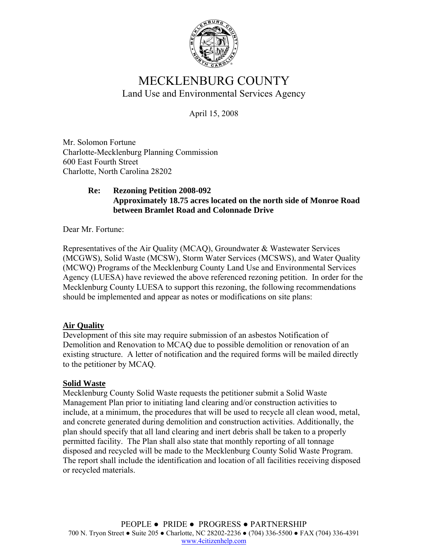

# MECKLENBURG COUNTY Land Use and Environmental Services Agency

April 15, 2008

Mr. Solomon Fortune Charlotte-Mecklenburg Planning Commission 600 East Fourth Street Charlotte, North Carolina 28202

# **Re: Rezoning Petition 2008-092 Approximately 18.75 acres located on the north side of Monroe Road between Bramlet Road and Colonnade Drive**

Dear Mr. Fortune:

Representatives of the Air Quality (MCAQ), Groundwater & Wastewater Services (MCGWS), Solid Waste (MCSW), Storm Water Services (MCSWS), and Water Quality (MCWQ) Programs of the Mecklenburg County Land Use and Environmental Services Agency (LUESA) have reviewed the above referenced rezoning petition. In order for the Mecklenburg County LUESA to support this rezoning, the following recommendations should be implemented and appear as notes or modifications on site plans:

# **Air Quality**

Development of this site may require submission of an asbestos Notification of Demolition and Renovation to MCAQ due to possible demolition or renovation of an existing structure. A letter of notification and the required forms will be mailed directly to the petitioner by MCAQ.

## **Solid Waste**

Mecklenburg County Solid Waste requests the petitioner submit a Solid Waste Management Plan prior to initiating land clearing and/or construction activities to include, at a minimum, the procedures that will be used to recycle all clean wood, metal, and concrete generated during demolition and construction activities. Additionally, the plan should specify that all land clearing and inert debris shall be taken to a properly permitted facility. The Plan shall also state that monthly reporting of all tonnage disposed and recycled will be made to the Mecklenburg County Solid Waste Program. The report shall include the identification and location of all facilities receiving disposed or recycled materials.